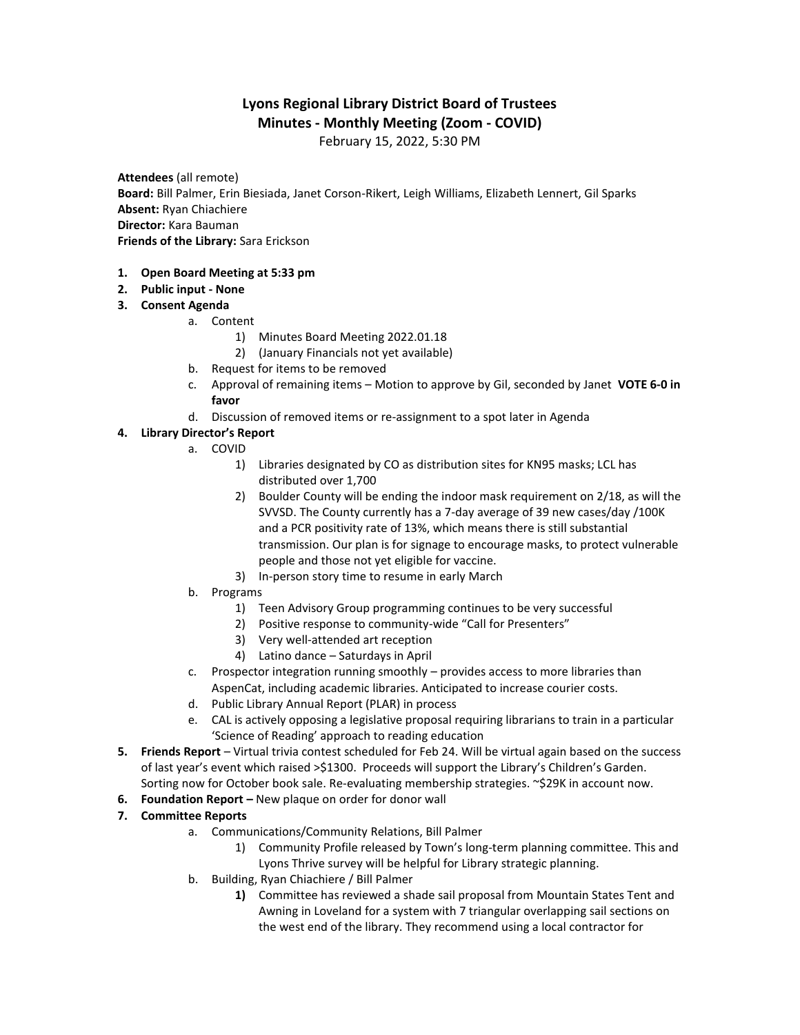# **Lyons Regional Library District Board of Trustees Minutes - Monthly Meeting (Zoom - COVID)**

February 15, 2022, 5:30 PM

**Attendees** (all remote) **Board:** Bill Palmer, Erin Biesiada, Janet Corson-Rikert, Leigh Williams, Elizabeth Lennert, Gil Sparks **Absent:** Ryan Chiachiere **Director:** Kara Bauman **Friends of the Library:** Sara Erickson

- **1. Open Board Meeting at 5:33 pm**
- **2. Public input - None**
- **3. Consent Agenda**
	- a. Content
		- 1) Minutes Board Meeting 2022.01.18
		- 2) (January Financials not yet available)
	- b. Request for items to be removed
	- c. Approval of remaining items Motion to approve by Gil, seconded by Janet **VOTE 6-0 in favor**
	- d. Discussion of removed items or re-assignment to a spot later in Agenda

#### **4. Library Director's Report**

- a. COVID
	- 1) Libraries designated by CO as distribution sites for KN95 masks; LCL has distributed over 1,700
	- 2) Boulder County will be ending the indoor mask requirement on 2/18, as will the SVVSD. The County currently has a 7-day average of 39 new cases/day /100K and a PCR positivity rate of 13%, which means there is still substantial transmission. Our plan is for signage to encourage masks, to protect vulnerable people and those not yet eligible for vaccine.
	- 3) In-person story time to resume in early March
- b. Programs
	- 1) Teen Advisory Group programming continues to be very successful
	- 2) Positive response to community-wide "Call for Presenters"
	- 3) Very well-attended art reception
	- 4) Latino dance Saturdays in April
- c. Prospector integration running smoothly provides access to more libraries than AspenCat, including academic libraries. Anticipated to increase courier costs.
- d. Public Library Annual Report (PLAR) in process
- e. CAL is actively opposing a legislative proposal requiring librarians to train in a particular 'Science of Reading' approach to reading education
- **5. Friends Report**  Virtual trivia contest scheduled for Feb 24. Will be virtual again based on the success of last year's event which raised >\$1300. Proceeds will support the Library's Children's Garden. Sorting now for October book sale. Re-evaluating membership strategies. ~\$29K in account now.
- **6. Foundation Report –** New plaque on order for donor wall
- **7. Committee Reports** 
	- a. Communications/Community Relations, Bill Palmer
		- 1) Community Profile released by Town's long-term planning committee. This and Lyons Thrive survey will be helpful for Library strategic planning.
	- b. Building, Ryan Chiachiere / Bill Palmer
		- **1)** Committee has reviewed a shade sail proposal from Mountain States Tent and Awning in Loveland for a system with 7 triangular overlapping sail sections on the west end of the library. They recommend using a local contractor for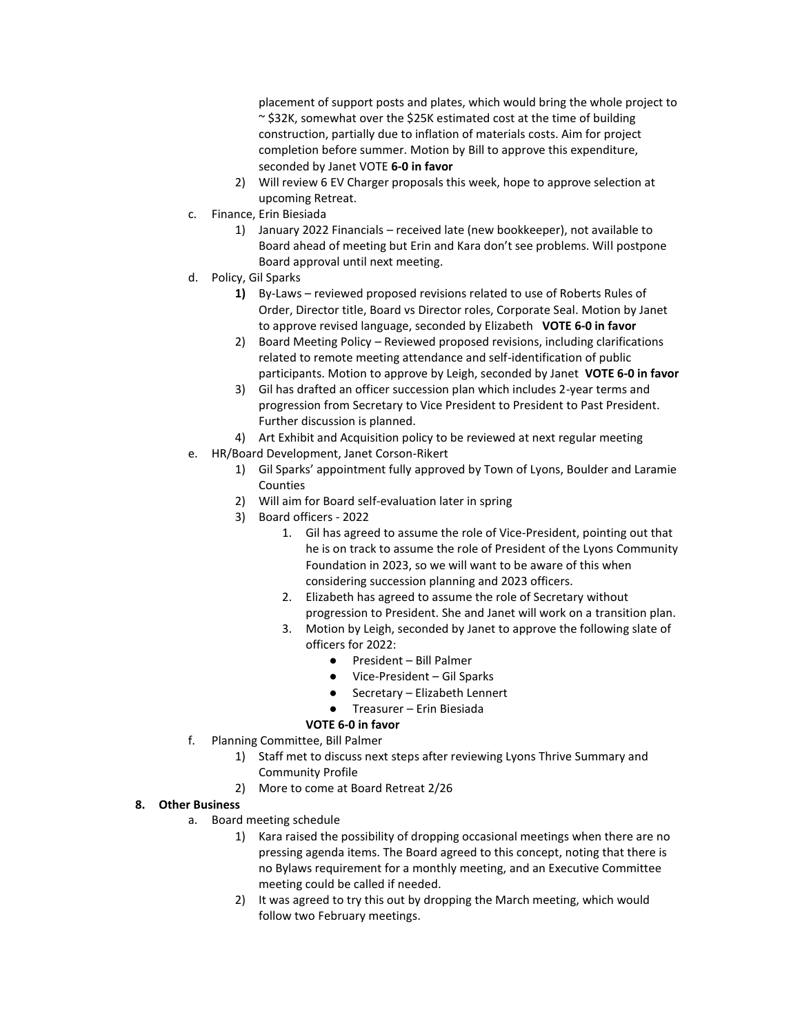placement of support posts and plates, which would bring the whole project to  $\sim$  \$32K, somewhat over the \$25K estimated cost at the time of building construction, partially due to inflation of materials costs. Aim for project completion before summer. Motion by Bill to approve this expenditure, seconded by Janet VOTE **6-0 in favor**

- 2) Will review 6 EV Charger proposals this week, hope to approve selection at upcoming Retreat.
- c. Finance, Erin Biesiada
	- 1) January 2022 Financials received late (new bookkeeper), not available to Board ahead of meeting but Erin and Kara don't see problems. Will postpone Board approval until next meeting.
- d. Policy, Gil Sparks
	- **1)** By-Laws reviewed proposed revisions related to use of Roberts Rules of Order, Director title, Board vs Director roles, Corporate Seal. Motion by Janet to approve revised language, seconded by Elizabeth **VOTE 6-0 in favor**
	- 2) Board Meeting Policy Reviewed proposed revisions, including clarifications related to remote meeting attendance and self-identification of public participants. Motion to approve by Leigh, seconded by Janet **VOTE 6-0 in favor**
	- 3) Gil has drafted an officer succession plan which includes 2-year terms and progression from Secretary to Vice President to President to Past President. Further discussion is planned.
	- 4) Art Exhibit and Acquisition policy to be reviewed at next regular meeting
- e. HR/Board Development, Janet Corson-Rikert
	- 1) Gil Sparks' appointment fully approved by Town of Lyons, Boulder and Laramie Counties
	- 2) Will aim for Board self-evaluation later in spring
	- 3) Board officers 2022
		- 1. Gil has agreed to assume the role of Vice-President, pointing out that he is on track to assume the role of President of the Lyons Community Foundation in 2023, so we will want to be aware of this when considering succession planning and 2023 officers.
		- 2. Elizabeth has agreed to assume the role of Secretary without progression to President. She and Janet will work on a transition plan.
		- 3. Motion by Leigh, seconded by Janet to approve the following slate of officers for 2022:
			- President Bill Palmer
			- Vice-President Gil Sparks
			- Secretary Elizabeth Lennert
			- Treasurer Erin Biesiada

## **VOTE 6-0 in favor**

- f. Planning Committee, Bill Palmer
	- 1) Staff met to discuss next steps after reviewing Lyons Thrive Summary and Community Profile
	- 2) More to come at Board Retreat 2/26

## **8. Other Business**

- a. Board meeting schedule
	- 1) Kara raised the possibility of dropping occasional meetings when there are no pressing agenda items. The Board agreed to this concept, noting that there is no Bylaws requirement for a monthly meeting, and an Executive Committee meeting could be called if needed.
	- 2) It was agreed to try this out by dropping the March meeting, which would follow two February meetings.